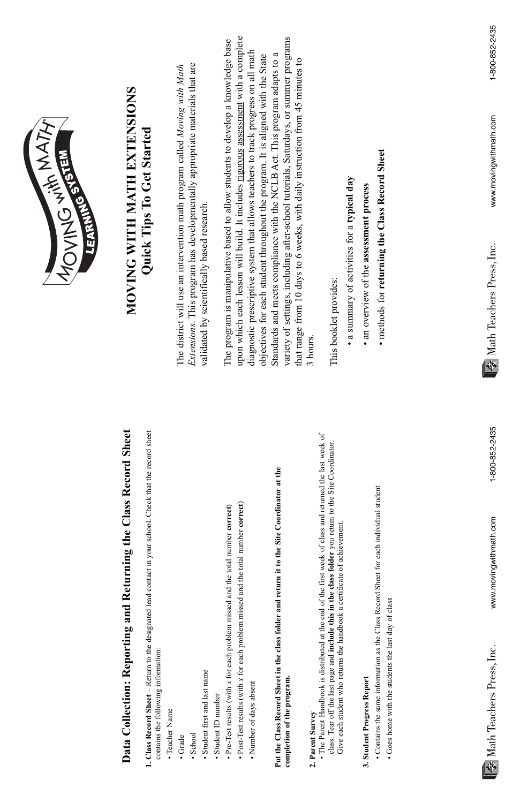*Extensions*. This program has developmentally appropriate materials that are Extensions. This program has developmentally appropriate materials that are The district will use an intervention math program called Moving with Math The district will use an intervention math program called *Moving with Math* validated by scientifically based research. validated by scientifically based research.

upon which each lesson will build. It includes rigorous assessment with a complete variety of settings, including after-school tutorials, Saturdays, or summer programs upon which each lesson will build. It includes rigorous assessment with a complete variety of settings, including after-school tutorials, Saturdays, or summer programs The program is manipulative based to allow students to develop a knowledge base The program is manipulative based to allow students to develop a knowledge base diagnostic prescriptive system that allows teachers to track progress on all math diagnostic prescriptive system that allows teachers to track progress on all math Standards and meets compliance with the NCLB Act. This program adapts to a objectives for each student throughout the program. It is aligned with the State Standards and meets compliance with the NCLB Act. This program adapts to a objectives for each student throughout the program. It is aligned with the State that range from 10 days to 6 weeks, with daily instruction from 45 minutes to that range from 10 days to 6 weeks, with daily instruction from 45 minutes to 3 hours.

This booklet provides: This booklet provides:

- a summary of activities for a typical day • a summary of activities for a **typical day**
- an overview of the assessment process • an overview of the **assessment process**
- methods for returning the Class Record Sheet • methods for **returning the Class Record Sheet**

### MOVING WITH MATH EXTENSIONS **MOVING WITH MATH EXTENSIONS** Quick Tips To Get Started **Quick Tips To Get Started**



# Data Collection: Reporting and Returning the Class Record Sheet **Data Collection: Reporting and Returning the Class Record Sheet**

Sheet for each individual student

- 1. Class Record Sheet Return to the designated lead contact in your school. Check that the record sheet **1. Class Record Sheet** – Return to the designated lead contact in your school. Check that the record sheet contains the following information: contains the following information:
	- · Teacher Name • Teacher Name
- Grade
- School
- · Student first and last name • Student first and last name
- Student ID number • Student ID number
- $\bullet$  Pre-Test results (with x for each problem missed and the total number correct) • Pre-Test results (with *x* for each problem missed and the total number **correct**)
- $\bullet$  Post-Test results (with  $x$  for each problem missed and the total number correct) • Post-Test results (with *x* for each problem missed and the total number **correct**)
	- Number of days absent • Number of days absent

## Put the Class Record Sheet in the class folder and return it to the Site Coordinator at the **Put the Class Record Sheet in the class folder and return it to the Site Coordinator at the** completion of the program. **completion of the program.**

#### 3. Student Progress Report **3. Student Progress Report**

- **2. Parent Survey**  2. Parent Survey
- The Parent Handbook is distributed at the end of the first week of class and returned the last week of • The Parent Handbook is distributed at the end of the first week of class and returned the last week of class. Tear off the last page and include this in the class folder you return to the Site Coordinator. class. Tear off the last page and **include this in the class folder** you return to the Site Coordinator. Give each student who returns the handbook a certificate of achievement. Give each student who returns the handbook a certificate of achievement.
- Contains the same information as the Class Record Sheet for each individual student • Contains the same information as the Class Record
- Goes home with the students the last day of class • Goes home with the students the last day of class